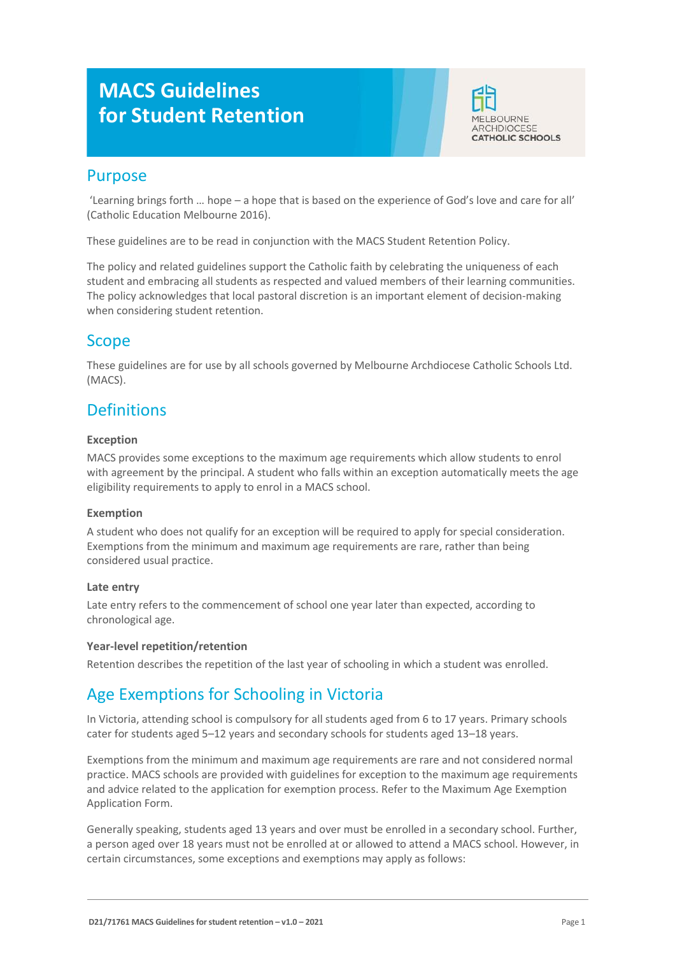# **MACS Guidelines for Student Retention**



### Purpose

'Learning brings forth … hope – a hope that is based on the experience of God's love and care for all' (Catholic Education Melbourne 2016).

These guidelines are to be read in conjunction with the MACS Student Retention Policy.

The policy and related guidelines support the Catholic faith by celebrating the uniqueness of each student and embracing all students as respected and valued members of their learning communities. The policy acknowledges that local pastoral discretion is an important element of decision-making when considering student retention.

### Scope

These guidelines are for use by all schools governed by Melbourne Archdiocese Catholic Schools Ltd. (MACS).

### **Definitions**

#### **Exception**

MACS provides some exceptions to the maximum age requirements which allow students to enrol with agreement by the principal. A student who falls within an exception automatically meets the age eligibility requirements to apply to enrol in a MACS school.

#### **Exemption**

A student who does not qualify for an exception will be required to apply for special consideration. Exemptions from the minimum and maximum age requirements are rare, rather than being considered usual practice.

#### **Late entry**

Late entry refers to the commencement of school one year later than expected, according to chronological age.

#### **Year-level repetition/retention**

Retention describes the repetition of the last year of schooling in which a student was enrolled.

## Age Exemptions for Schooling in Victoria

In Victoria, attending school is compulsory for all students aged from 6 to 17 years. Primary schools cater for students aged 5–12 years and secondary schools for students aged 13–18 years.

Exemptions from the minimum and maximum age requirements are rare and not considered normal practice. MACS schools are provided with guidelines for exception to the maximum age requirements and advice related to the application for exemption process. Refer to the Maximum Age Exemption Application Form.

Generally speaking, students aged 13 years and over must be enrolled in a secondary school. Further, a person aged over 18 years must not be enrolled at or allowed to attend a MACS school. However, in certain circumstances, some exceptions and exemptions may apply as follows: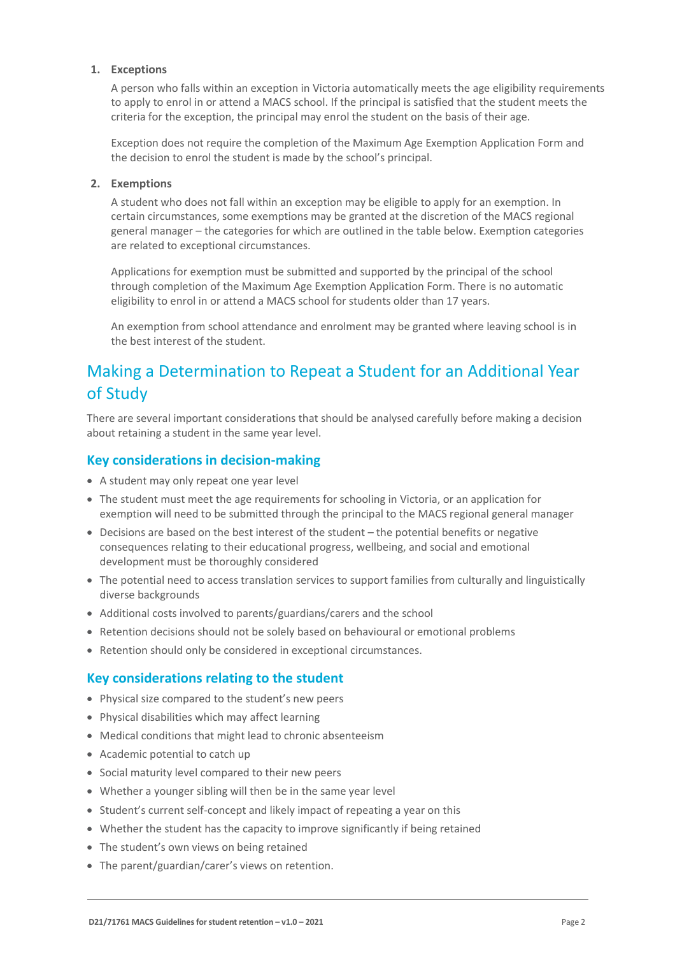#### **1. Exceptions**

A person who falls within an exception in Victoria automatically meets the age eligibility requirements to apply to enrol in or attend a MACS school. If the principal is satisfied that the student meets the criteria for the exception, the principal may enrol the student on the basis of their age.

Exception does not require the completion of the Maximum Age Exemption Application Form and the decision to enrol the student is made by the school's principal.

#### **2. Exemptions**

A student who does not fall within an exception may be eligible to apply for an exemption. In certain circumstances, some exemptions may be granted at the discretion of the MACS regional general manager – the categories for which are outlined in the table below. Exemption categories are related to exceptional circumstances.

Applications for exemption must be submitted and supported by the principal of the school through completion of the Maximum Age Exemption Application Form. There is no automatic eligibility to enrol in or attend a MACS school for students older than 17 years.

An exemption from school attendance and enrolment may be granted where leaving school is in the best interest of the student.

## Making a Determination to Repeat a Student for an Additional Year of Study

There are several important considerations that should be analysed carefully before making a decision about retaining a student in the same year level.

#### **Key considerations in decision-making**

- A student may only repeat one year level
- The student must meet the age requirements for schooling in Victoria, or an application for exemption will need to be submitted through the principal to the MACS regional general manager
- Decisions are based on the best interest of the student the potential benefits or negative consequences relating to their educational progress, wellbeing, and social and emotional development must be thoroughly considered
- The potential need to access translation services to support families from culturally and linguistically diverse backgrounds
- Additional costs involved to parents/guardians/carers and the school
- Retention decisions should not be solely based on behavioural or emotional problems
- Retention should only be considered in exceptional circumstances.

#### **Key considerations relating to the student**

- Physical size compared to the student's new peers
- Physical disabilities which may affect learning
- Medical conditions that might lead to chronic absenteeism
- Academic potential to catch up
- Social maturity level compared to their new peers
- Whether a younger sibling will then be in the same year level
- Student's current self-concept and likely impact of repeating a year on this
- Whether the student has the capacity to improve significantly if being retained
- The student's own views on being retained
- The parent/guardian/carer's views on retention.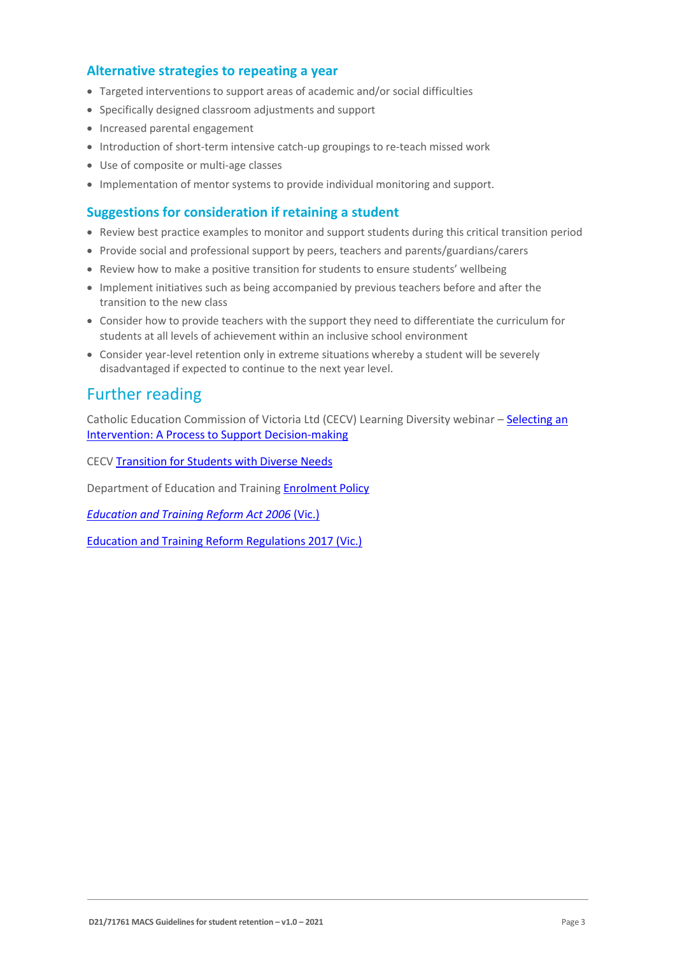#### **Alternative strategies to repeating a year**

- Targeted interventions to support areas of academic and/or social difficulties
- Specifically designed classroom adjustments and support
- Increased parental engagement
- Introduction of short-term intensive catch-up groupings to re-teach missed work
- Use of composite or multi-age classes
- Implementation of mentor systems to provide individual monitoring and support.

#### **Suggestions for consideration if retaining a student**

- Review best practice examples to monitor and support students during this critical transition period
- Provide social and professional support by peers, teachers and parents/guardians/carers
- Review how to make a positive transition for students to ensure students' wellbeing
- Implement initiatives such as being accompanied by previous teachers before and after the transition to the new class
- Consider how to provide teachers with the support they need to differentiate the curriculum for students at all levels of achievement within an inclusive school environment
- Consider year-level retention only in extreme situations whereby a student will be severely disadvantaged if expected to continue to the next year level.

### Further reading

Catholic Education Commission of Victoria Ltd (CECV) Learning Diversity webinar – [Selecting an](https://www.youtube.com/watch?v=cL7BCR7SB-Q&feature=youtu.be) [Intervention: A Process](https://www.youtube.com/watch?v=cL7BCR7SB-Q&feature=youtu.be) to Support Decision-making

CECV Transition for Students with [Diverse Needs](https://www.cecv.catholic.edu.au/getmedia/6190a38b-f536-4c30-9cc1-de95a8fc6668/Transition-students-diverse-needs.aspx?ext=.pdf)

Department of Education and Training **[Enrolment](https://www2.education.vic.gov.au/pal/enrolment/policy) Policy** 

*[Education](https://www.legislation.vic.gov.au/in-force/acts/education-and-training-reform-act-2006/081) and Training Reform Act 2006* (Vic.)

Education and Training Reform [Regulations](https://www.legislation.vic.gov.au/in-force/statutory-rules/education-and-training-reform-regulations-2017/003) 2017 (Vic.)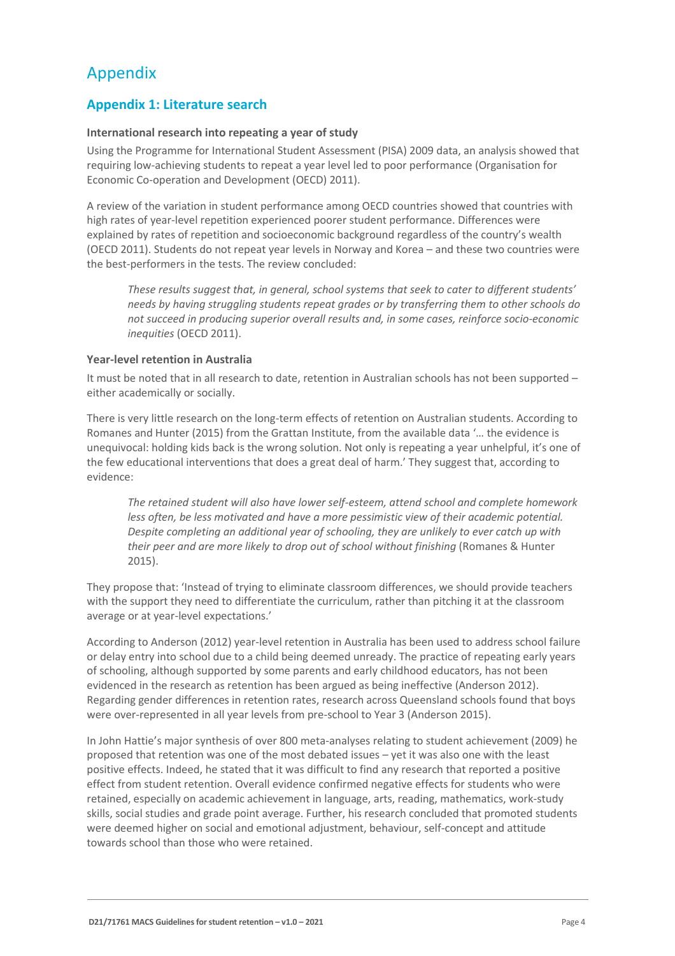## Appendix

### **Appendix 1: Literature search**

#### **International research into repeating a year of study**

Using the Programme for International Student Assessment (PISA) 2009 data, an analysis showed that requiring low-achieving students to repeat a year level led to poor performance (Organisation for Economic Co-operation and Development (OECD) 2011).

A review of the variation in student performance among OECD countries showed that countries with high rates of year-level repetition experienced poorer student performance. Differences were explained by rates of repetition and socioeconomic background regardless of the country's wealth (OECD 2011). Students do not repeat year levels in Norway and Korea – and these two countries were the best-performers in the tests. The review concluded:

*These results suggest that, in general, school systems that seek to cater to different students' needs by having struggling students repeat grades or by transferring them to other schools do not succeed in producing superior overall results and, in some cases, reinforce socio-economic inequities* (OECD 2011).

#### **Year-level retention in Australia**

It must be noted that in all research to date, retention in Australian schools has not been supported – either academically or socially.

There is very little research on the long-term effects of retention on Australian students. According to Romanes and Hunter (2015) from the Grattan Institute, from the available data '… the evidence is unequivocal: holding kids back is the wrong solution. Not only is repeating a year unhelpful, it's one of the few educational interventions that does a great deal of harm.' They suggest that, according to evidence:

*The retained student will also have lower self-esteem, attend school and complete homework less often, be less motivated and have a more pessimistic view of their academic potential. Despite completing an additional year of schooling, they are unlikely to ever catch up with their peer and are more likely to drop out of school without finishing (Romanes & Hunter* 2015).

They propose that: 'Instead of trying to eliminate classroom differences, we should provide teachers with the support they need to differentiate the curriculum, rather than pitching it at the classroom average or at year-level expectations.'

According to Anderson (2012) year-level retention in Australia has been used to address school failure or delay entry into school due to a child being deemed unready. The practice of repeating early years of schooling, although supported by some parents and early childhood educators, has not been evidenced in the research as retention has been argued as being ineffective (Anderson 2012). Regarding gender differences in retention rates, research across Queensland schools found that boys were over-represented in all year levels from pre-school to Year 3 (Anderson 2015).

In John Hattie's major synthesis of over 800 meta-analyses relating to student achievement (2009) he proposed that retention was one of the most debated issues – yet it was also one with the least positive effects. Indeed, he stated that it was difficult to find any research that reported a positive effect from student retention. Overall evidence confirmed negative effects for students who were retained, especially on academic achievement in language, arts, reading, mathematics, work-study skills, social studies and grade point average. Further, his research concluded that promoted students were deemed higher on social and emotional adjustment, behaviour, self-concept and attitude towards school than those who were retained.